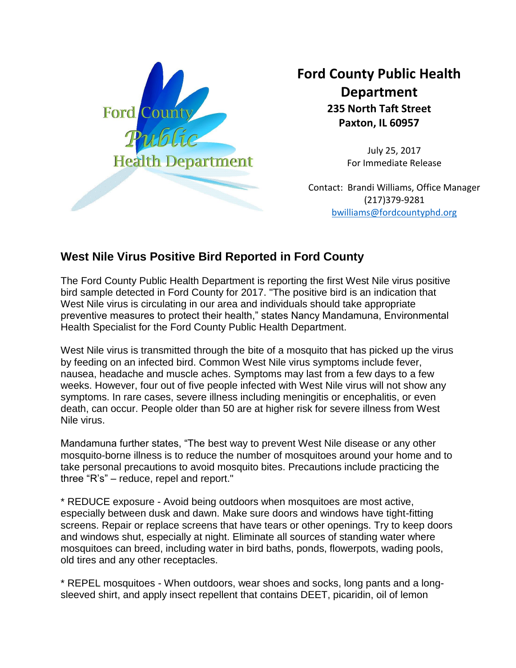

## **Ford County Public Health Department 235 North Taft Street Paxton, IL 60957**

July 25, 2017 For Immediate Release

Contact: Brandi Williams, Office Manager (217)379-9281 [bwilliams@fordcountyphd.org](mailto:bwilliams@fordcountyphd.org)

## **West Nile Virus Positive Bird Reported in Ford County**

The Ford County Public Health Department is reporting the first West Nile virus positive bird sample detected in Ford County for 2017. "The positive bird is an indication that West Nile virus is circulating in our area and individuals should take appropriate preventive measures to protect their health," states Nancy Mandamuna, Environmental Health Specialist for the Ford County Public Health Department.

West Nile virus is transmitted through the bite of a mosquito that has picked up the virus by feeding on an infected bird. Common West Nile virus symptoms include fever, nausea, headache and muscle aches. Symptoms may last from a few days to a few weeks. However, four out of five people infected with West Nile virus will not show any symptoms. In rare cases, severe illness including meningitis or encephalitis, or even death, can occur. People older than 50 are at higher risk for severe illness from West Nile virus.

Mandamuna further states, "The best way to prevent West Nile disease or any other mosquito-borne illness is to reduce the number of mosquitoes around your home and to take personal precautions to avoid mosquito bites. Precautions include practicing the three "R's" – reduce, repel and report."

\* REDUCE exposure - Avoid being outdoors when mosquitoes are most active, especially between dusk and dawn. Make sure doors and windows have tight-fitting screens. Repair or replace screens that have tears or other openings. Try to keep doors and windows shut, especially at night. Eliminate all sources of standing water where mosquitoes can breed, including water in bird baths, ponds, flowerpots, wading pools, old tires and any other receptacles.

\* REPEL mosquitoes - When outdoors, wear shoes and socks, long pants and a longsleeved shirt, and apply insect repellent that contains DEET, picaridin, oil of lemon